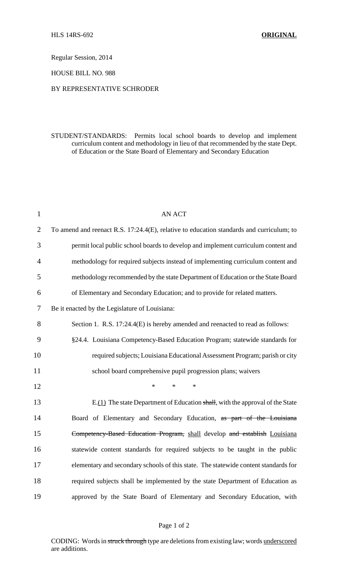Regular Session, 2014

HOUSE BILL NO. 988

### BY REPRESENTATIVE SCHRODER

## STUDENT/STANDARDS: Permits local school boards to develop and implement curriculum content and methodology in lieu of that recommended by the state Dept. of Education or the State Board of Elementary and Secondary Education

| $\mathbf{1}$   | <b>AN ACT</b>                                                                            |
|----------------|------------------------------------------------------------------------------------------|
| $\overline{2}$ | To amend and reenact R.S. 17:24.4(E), relative to education standards and curriculum; to |
| 3              | permit local public school boards to develop and implement curriculum content and        |
| 4              | methodology for required subjects instead of implementing curriculum content and         |
| 5              | methodology recommended by the state Department of Education or the State Board          |
| 6              | of Elementary and Secondary Education; and to provide for related matters.               |
| 7              | Be it enacted by the Legislature of Louisiana:                                           |
| 8              | Section 1. R.S. 17:24.4(E) is hereby amended and reenacted to read as follows:           |
| 9              | §24.4. Louisiana Competency-Based Education Program; statewide standards for             |
| 10             | required subjects; Louisiana Educational Assessment Program; parish or city              |
| 11             | school board comprehensive pupil progression plans; waivers                              |
| 12             | $\ast$<br>$\ast$<br>$\ast$                                                               |
| 13             | $E(1)$ The state Department of Education shall, with the approval of the State           |
| 14             | Board of Elementary and Secondary Education, as part of the Louisiana                    |
| 15             | Competency-Based Education Program, shall develop and establish Louisiana                |
| 16             | statewide content standards for required subjects to be taught in the public             |
| 17             | elementary and secondary schools of this state. The statewide content standards for      |
| 18             | required subjects shall be implemented by the state Department of Education as           |
| 19             | approved by the State Board of Elementary and Secondary Education, with                  |
|                |                                                                                          |

#### Page 1 of 2

CODING: Words in struck through type are deletions from existing law; words underscored are additions.